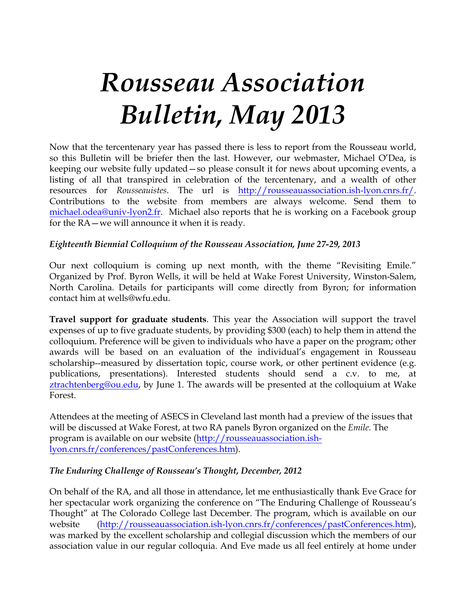# *Rousseau Association Bulletin, May 2013*

Now that the tercentenary year has passed there is less to report from the Rousseau world, so this Bulletin will be briefer then the last. However, our webmaster, Michael O'Dea, is keeping our website fully updated—so please consult it for news about upcoming events, a listing of all that transpired in celebration of the tercentenary, and a wealth of other resources for *Rousseauistes*. The url is http://rousseauassociation.ish-lyon.cnrs.fr/. Contributions to the website from members are always welcome. Send them to michael.odea@univ-lyon2.fr. Michael also reports that he is working on a Facebook group for the RA—we will announce it when it is ready.

## *Eighteenth Biennial Colloquium of the Rousseau Association, June 27-29, 2013*

Our next colloquium is coming up next month, with the theme "Revisiting Emile." Organized by Prof. Byron Wells, it will be held at Wake Forest University, Winston-Salem, North Carolina. Details for participants will come directly from Byron; for information contact him at wells@wfu.edu.

**Travel support for graduate students**. This year the Association will support the travel expenses of up to five graduate students, by providing \$300 (each) to help them in attend the colloquium. Preference will be given to individuals who have a paper on the program; other awards will be based on an evaluation of the individual's engagement in Rousseau scholarship--measured by dissertation topic, course work, or other pertinent evidence (e.g. publications, presentations). Interested students should send a c.v. to me, at ztrachtenberg@ou.edu, by June 1. The awards will be presented at the colloquium at Wake Forest.

Attendees at the meeting of ASECS in Cleveland last month had a preview of the issues that will be discussed at Wake Forest, at two RA panels Byron organized on the *Emile*. The program is available on our website (http://rousseauassociation.ishlyon.cnrs.fr/conferences/pastConferences.htm).

#### *The Enduring Challenge of Rousseau's Thought, December, 2012*

On behalf of the RA, and all those in attendance, let me enthusiastically thank Eve Grace for her spectacular work organizing the conference on "The Enduring Challenge of Rousseau's Thought" at The Colorado College last December. The program, which is available on our website (http://rousseauassociation.ish-lyon.cnrs.fr/conferences/pastConferences.htm), was marked by the excellent scholarship and collegial discussion which the members of our association value in our regular colloquia. And Eve made us all feel entirely at home under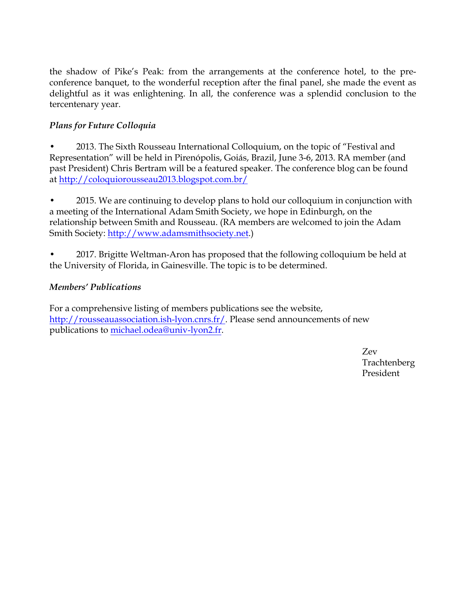the shadow of Pike's Peak: from the arrangements at the conference hotel, to the preconference banquet, to the wonderful reception after the final panel, she made the event as delightful as it was enlightening. In all, the conference was a splendid conclusion to the tercentenary year.

# *Plans for Future Colloquia*

• 2013. The Sixth Rousseau International Colloquium, on the topic of "Festival and Representation" will be held in Pirenópolis, Goiás, Brazil, June 3-6, 2013. RA member (and past President) Chris Bertram will be a featured speaker. The conference blog can be found at http://coloquiorousseau2013.blogspot.com.br/

• 2015. We are continuing to develop plans to hold our colloquium in conjunction with a meeting of the International Adam Smith Society, we hope in Edinburgh, on the relationship between Smith and Rousseau. (RA members are welcomed to join the Adam Smith Society: http://www.adamsmithsociety.net.)

• 2017. Brigitte Weltman-Aron has proposed that the following colloquium be held at the University of Florida, in Gainesville. The topic is to be determined.

## *Members' Publications*

For a comprehensive listing of members publications see the website, http://rousseauassociation.ish-lyon.cnrs.fr/. Please send announcements of new publications to michael.odea@univ-lyon2.fr.

> Zev Trachtenberg President